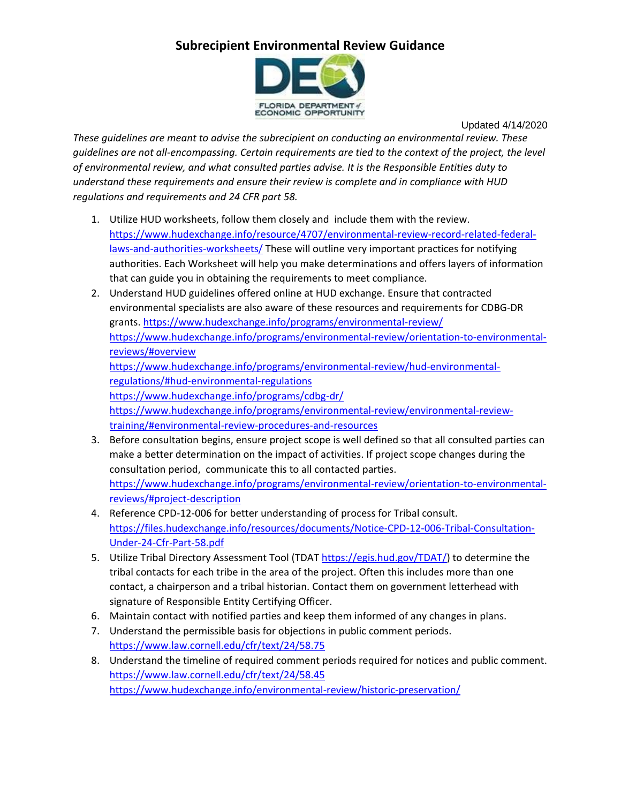## **Subrecipient Environmental Review Guidance**



Updated 4/14/2020

*These guidelines are meant to advise the subrecipient on conducting an environmental review. These guidelines are not all-encompassing. Certain requirements are tied to the context of the project, the level of environmental review, and what consulted parties advise. It is the Responsible Entities duty to understand these requirements and ensure their review is complete and in compliance with HUD regulations and requirements and 24 CFR part 58.*

- 1. Utilize HUD worksheets, follow them closely and include them with the review. [https://www.hudexchange.info/resource/4707/environmental-review-record-related-federal](https://www.hudexchange.info/resource/4707/environmental-review-record-related-federal-laws-and-authorities-worksheets/)[laws-and-authorities-worksheets/](https://www.hudexchange.info/resource/4707/environmental-review-record-related-federal-laws-and-authorities-worksheets/) These will outline very important practices for notifying authorities. Each Worksheet will help you make determinations and offers layers of information that can guide you in obtaining the requirements to meet compliance.
- 2. Understand HUD guidelines offered online at HUD exchange. Ensure that contracted environmental specialists are also aware of these resources and requirements for CDBG-DR grants.<https://www.hudexchange.info/programs/environmental-review/> [https://www.hudexchange.info/programs/environmental-review/orientation-to-environmental](https://www.hudexchange.info/programs/environmental-review/orientation-to-environmental-reviews/#overview)[reviews/#overview](https://www.hudexchange.info/programs/environmental-review/orientation-to-environmental-reviews/#overview) [https://www.hudexchange.info/programs/environmental-review/hud-environmental](https://www.hudexchange.info/programs/environmental-review/hud-environmental-regulations/#hud-environmental-regulations)[regulations/#hud-environmental-regulations](https://www.hudexchange.info/programs/environmental-review/hud-environmental-regulations/#hud-environmental-regulations) <https://www.hudexchange.info/programs/cdbg-dr/> [https://www.hudexchange.info/programs/environmental-review/environmental-review](https://www.hudexchange.info/programs/environmental-review/environmental-review-training/#environmental-review-procedures-and-resources)[training/#environmental-review-procedures-and-resources](https://www.hudexchange.info/programs/environmental-review/environmental-review-training/#environmental-review-procedures-and-resources)
- 3. Before consultation begins, ensure project scope is well defined so that all consulted parties can make a better determination on the impact of activities. If project scope changes during the consultation period, communicate this to all contacted parties. [https://www.hudexchange.info/programs/environmental-review/orientation-to-environmental](https://www.hudexchange.info/programs/environmental-review/orientation-to-environmental-reviews/#project-description)[reviews/#project-description](https://www.hudexchange.info/programs/environmental-review/orientation-to-environmental-reviews/#project-description)
- 4. Reference CPD-12-006 for better understanding of process for Tribal consult. [https://files.hudexchange.info/resources/documents/Notice-CPD-12-006-Tribal-Consultation-](https://files.hudexchange.info/resources/documents/Notice-CPD-12-006-Tribal-Consultation-Under-24-Cfr-Part-58.pdf)[Under-24-Cfr-Part-58.pdf](https://files.hudexchange.info/resources/documents/Notice-CPD-12-006-Tribal-Consultation-Under-24-Cfr-Part-58.pdf)
- 5. Utilize Tribal Directory Assessment Tool (TDAT [https://egis.hud.gov/TDAT/\)](https://egis.hud.gov/TDAT/) to determine the tribal contacts for each tribe in the area of the project. Often this includes more than one contact, a chairperson and a tribal historian. Contact them on government letterhead with signature of Responsible Entity Certifying Officer.
- 6. Maintain contact with notified parties and keep them informed of any changes in plans.
- 7. Understand the permissible basis for objections in public comment periods. <https://www.law.cornell.edu/cfr/text/24/58.75>
- 8. Understand the timeline of required comment periods required for notices and public comment. <https://www.law.cornell.edu/cfr/text/24/58.45> <https://www.hudexchange.info/environmental-review/historic-preservation/>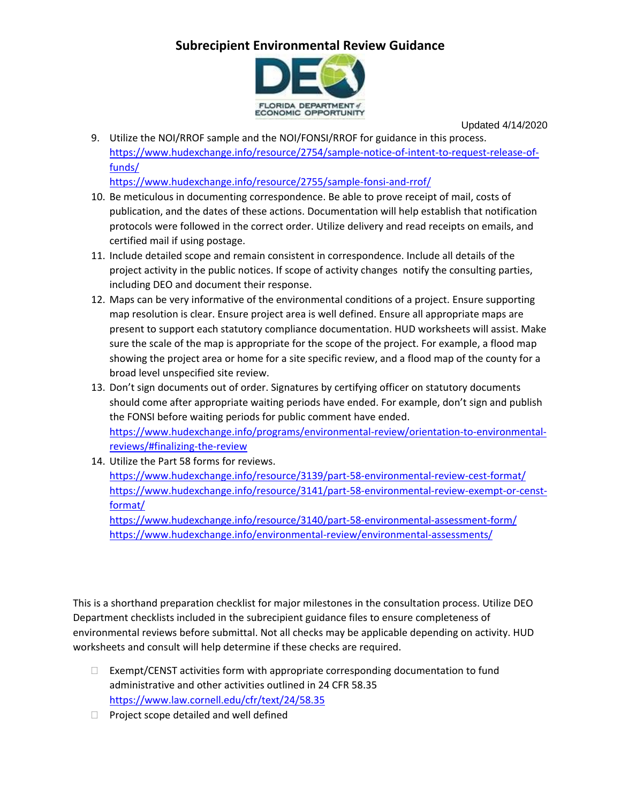## **Subrecipient Environmental Review Guidance**



Updated 4/14/2020

9. Utilize the NOI/RROF sample and the NOI/FONSI/RROF for guidance in this process. [https://www.hudexchange.info/resource/2754/sample-notice-of-intent-to-request-release-of](https://www.hudexchange.info/resource/2754/sample-notice-of-intent-to-request-release-of-funds/)[funds/](https://www.hudexchange.info/resource/2754/sample-notice-of-intent-to-request-release-of-funds/)

<https://www.hudexchange.info/resource/2755/sample-fonsi-and-rrof/>

- 10. Be meticulous in documenting correspondence. Be able to prove receipt of mail, costs of publication, and the dates of these actions. Documentation will help establish that notification protocols were followed in the correct order. Utilize delivery and read receipts on emails, and certified mail if using postage.
- 11. Include detailed scope and remain consistent in correspondence. Include all details of the project activity in the public notices. If scope of activity changes notify the consulting parties, including DEO and document their response.
- 12. Maps can be very informative of the environmental conditions of a project. Ensure supporting map resolution is clear. Ensure project area is well defined. Ensure all appropriate maps are present to support each statutory compliance documentation. HUD worksheets will assist. Make sure the scale of the map is appropriate for the scope of the project. For example, a flood map showing the project area or home for a site specific review, and a flood map of the county for a broad level unspecified site review.
- 13. Don't sign documents out of order. Signatures by certifying officer on statutory documents should come after appropriate waiting periods have ended. For example, don't sign and publish the FONSI before waiting periods for public comment have ended. [https://www.hudexchange.info/programs/environmental-review/orientation-to-environmental](https://www.hudexchange.info/programs/environmental-review/orientation-to-environmental-reviews/#finalizing-the-review)[reviews/#finalizing-the-review](https://www.hudexchange.info/programs/environmental-review/orientation-to-environmental-reviews/#finalizing-the-review)
- 14. Utilize the Part 58 forms for reviews. <https://www.hudexchange.info/resource/3139/part-58-environmental-review-cest-format/> [https://www.hudexchange.info/resource/3141/part-58-environmental-review-exempt-or-censt](https://www.hudexchange.info/resource/3141/part-58-environmental-review-exempt-or-censt-format/)[format/](https://www.hudexchange.info/resource/3141/part-58-environmental-review-exempt-or-censt-format/) <https://www.hudexchange.info/resource/3140/part-58-environmental-assessment-form/> <https://www.hudexchange.info/environmental-review/environmental-assessments/>

This is a shorthand preparation checklist for major milestones in the consultation process. Utilize DEO Department checklists included in the subrecipient guidance files to ensure completeness of environmental reviews before submittal. Not all checks may be applicable depending on activity. HUD worksheets and consult will help determine if these checks are required.

- $\Box$  Exempt/CENST activities form with appropriate corresponding documentation to fund administrative and other activities outlined in 24 CFR 58.35 <https://www.law.cornell.edu/cfr/text/24/58.35>
- $\Box$  Project scope detailed and well defined